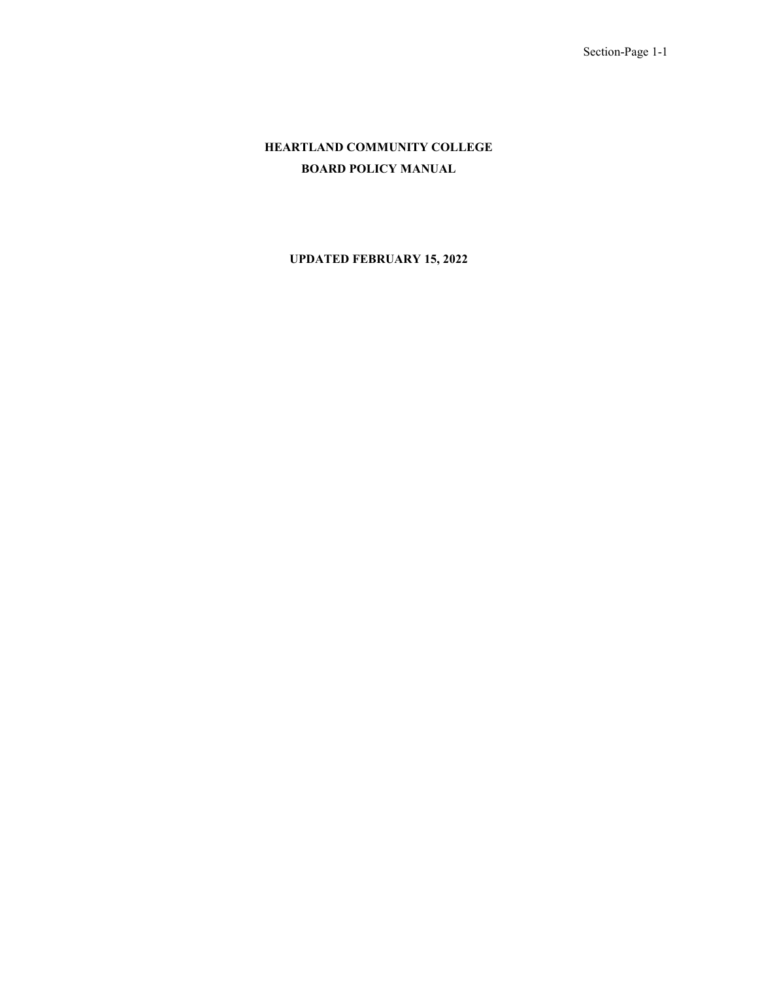# **HEARTLAND COMMUNITY COLLEGE BOARD POLICY MANUAL**

## **UPDATED FEBRUARY 15, 2022**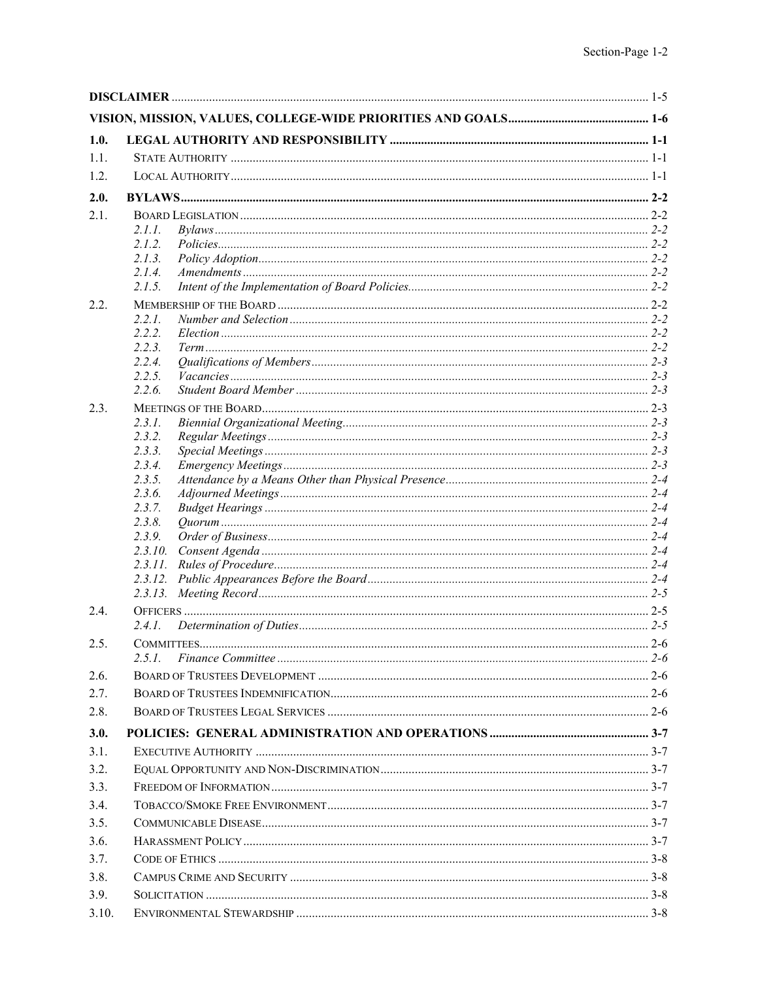| 1.0.  |                   |  |
|-------|-------------------|--|
| 1.1.  |                   |  |
| 1.2.  |                   |  |
| 2.0.  |                   |  |
| 2.1.  |                   |  |
|       | 2.1.1.            |  |
|       | 2.1.2.            |  |
|       | 2.1.3.            |  |
|       | 2.1.4.            |  |
|       | 2.1.5.            |  |
| 2.2.  |                   |  |
|       | 2.2.1.            |  |
|       | 2.2.2.            |  |
|       | 2.2.3.            |  |
|       | 2.2.4.<br>2.2.5.  |  |
|       | 2.2.6.            |  |
| 2.3.  |                   |  |
|       | 2.3.1.            |  |
|       | 2.3.2.            |  |
|       | 2.3.3.            |  |
|       | 2.3.4.            |  |
|       | 2.3.5.            |  |
|       | 2.3.6.            |  |
|       | 2.3.7.            |  |
|       | 2.3.8.            |  |
|       | 2.3.9.<br>2.3.10. |  |
|       |                   |  |
|       |                   |  |
|       |                   |  |
| 2.4.  |                   |  |
|       | 2.4.1.            |  |
| 2.5.  |                   |  |
|       | 2.5.1.            |  |
| 2.6.  |                   |  |
| 2.7.  |                   |  |
| 2.8.  |                   |  |
| 3.0.  |                   |  |
| 3.1.  |                   |  |
| 3.2.  |                   |  |
| 3.3.  |                   |  |
| 3.4.  |                   |  |
| 3.5.  |                   |  |
| 3.6.  |                   |  |
| 3.7.  |                   |  |
| 3.8.  |                   |  |
| 3.9.  |                   |  |
| 3.10. |                   |  |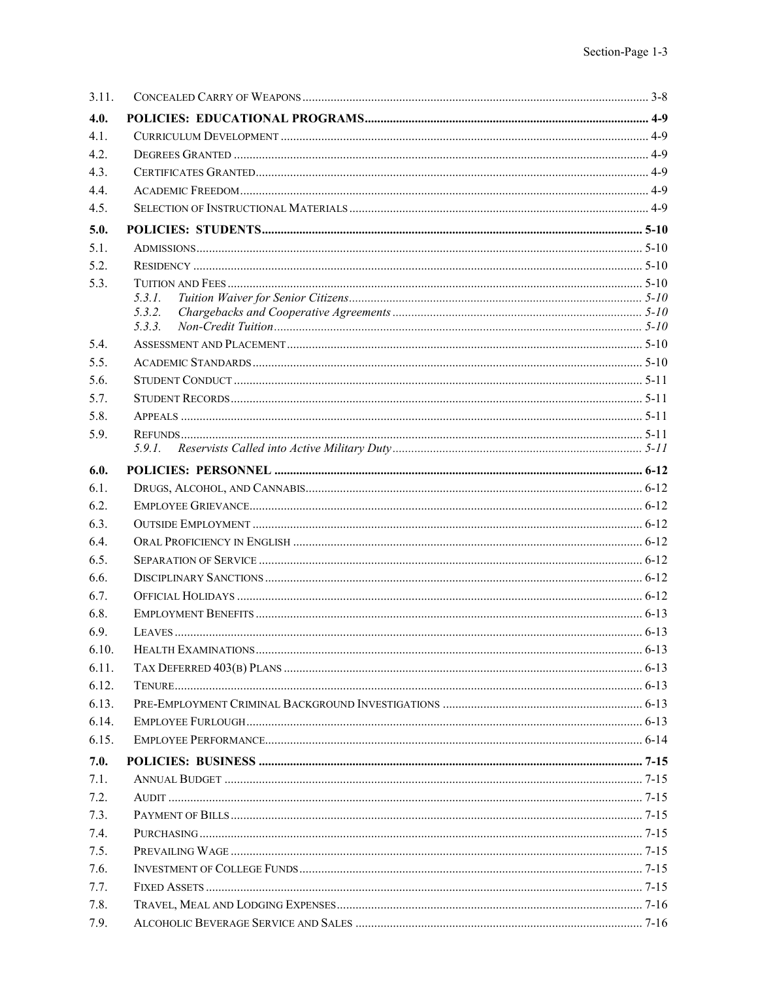| 3.11. |                  |  |
|-------|------------------|--|
| 4.0.  |                  |  |
| 4.1.  |                  |  |
| 4.2.  |                  |  |
| 4.3.  |                  |  |
| 4.4.  |                  |  |
| 4.5.  |                  |  |
| 5.0.  |                  |  |
| 5.1.  |                  |  |
| 5.2.  |                  |  |
| 5.3.  |                  |  |
|       | 5.3.1.           |  |
|       | 5.3.2.<br>5.3.3. |  |
| 5.4.  |                  |  |
| 5.5.  |                  |  |
| 5.6.  |                  |  |
| 5.7.  |                  |  |
| 5.8.  |                  |  |
| 5.9.  |                  |  |
|       |                  |  |
| 6.0.  |                  |  |
| 6.1.  |                  |  |
| 6.2.  |                  |  |
| 6.3.  |                  |  |
| 6.4.  |                  |  |
| 6.5.  |                  |  |
| 6.6.  |                  |  |
| 6.7.  |                  |  |
| 6.8.  |                  |  |
| 6.9.  |                  |  |
| 6.10. |                  |  |
| 6.11. |                  |  |
| 6.12. |                  |  |
| 6.13. |                  |  |
| 6.14. |                  |  |
| 6.15. |                  |  |
| 7.0.  |                  |  |
| 7.1.  |                  |  |
| 7.2.  |                  |  |
| 7.3.  |                  |  |
| 7.4.  |                  |  |
| 7.5.  |                  |  |
| 7.6.  |                  |  |
| 7.7.  |                  |  |
| 7.8.  |                  |  |
| 7.9.  |                  |  |
|       |                  |  |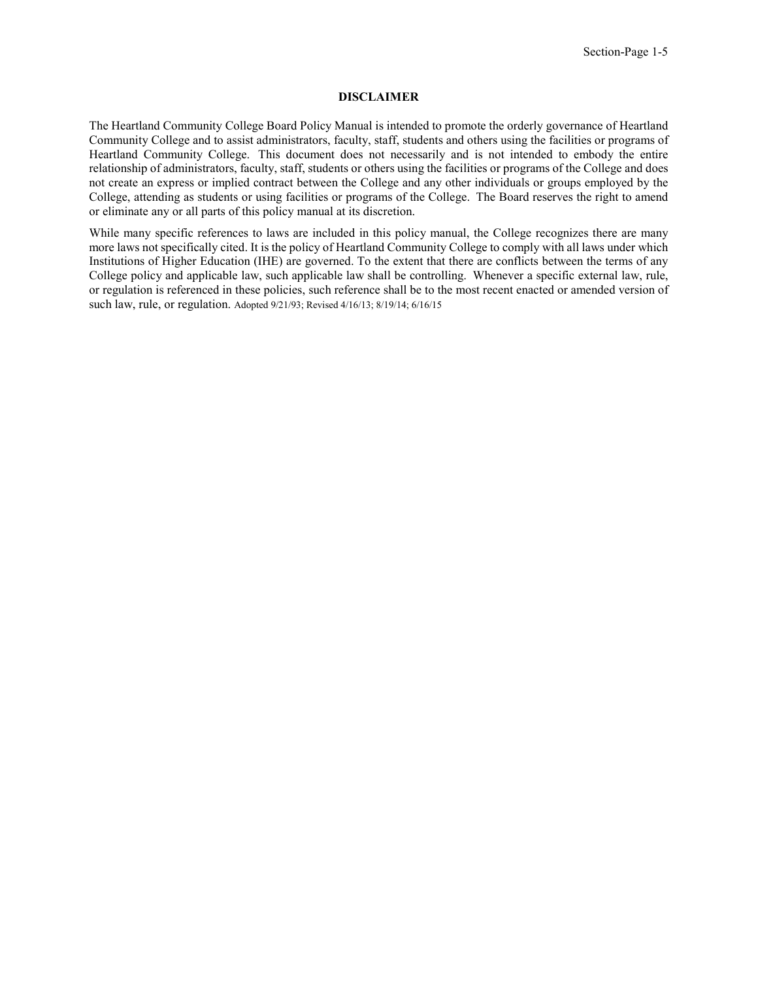### **DISCLAIMER**

<span id="page-4-0"></span>The Heartland Community College Board Policy Manual is intended to promote the orderly governance of Heartland Community College and to assist administrators, faculty, staff, students and others using the facilities or programs of Heartland Community College.  This document does not necessarily and is not intended to embody the entire relationship of administrators, faculty, staff, students or others using the facilities or programs of the College and does not create an express or implied contract between the College and any other individuals or groups employed by the College, attending as students or using facilities or programs of the College.  The Board reserves the right to amend or eliminate any or all parts of this policy manual at its discretion. 

While many specific references to laws are included in this policy manual, the College recognizes there are many more laws not specifically cited. It is the policy of Heartland Community College to comply with all laws under which Institutions of Higher Education (IHE) are governed. To the extent that there are conflicts between the terms of any College policy and applicable law, such applicable law shall be controlling.  Whenever a specific external law, rule, or regulation is referenced in these policies, such reference shall be to the most recent enacted or amended version of such law, rule, or regulation. Adopted 9/21/93; Revised 4/16/13; 8/19/14; 6/16/15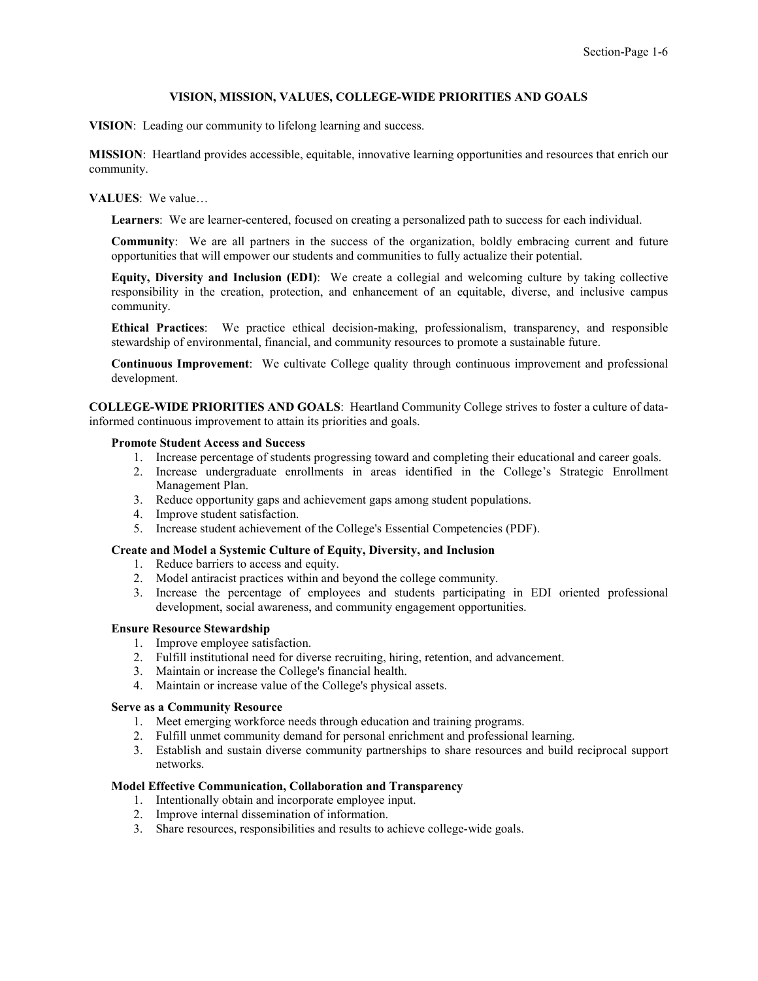### **VISION, MISSION, VALUES, COLLEGE-WIDE PRIORITIES AND GOALS**

<span id="page-5-0"></span>**VISION**: Leading our community to lifelong learning and success.

**MISSION**: Heartland provides accessible, equitable, innovative learning opportunities and resources that enrich our community.

### **VALUES**: We value…

**Learners**: We are learner-centered, focused on creating a personalized path to success for each individual.

**Community**: We are all partners in the success of the organization, boldly embracing current and future opportunities that will empower our students and communities to fully actualize their potential.

**Equity, Diversity and Inclusion (EDI)**: We create a collegial and welcoming culture by taking collective responsibility in the creation, protection, and enhancement of an equitable, diverse, and inclusive campus community.

**Ethical Practices**: We practice ethical decision-making, professionalism, transparency, and responsible stewardship of environmental, financial, and community resources to promote a sustainable future.

**Continuous Improvement**: We cultivate College quality through continuous improvement and professional development.

**COLLEGE-WIDE PRIORITIES AND GOALS**: Heartland Community College strives to foster a culture of datainformed continuous improvement to attain its priorities and goals.

#### **Promote Student Access and Success**

- 1. Increase percentage of students progressing toward and completing their educational and career goals.
- 2. Increase undergraduate enrollments in areas identified in the College's Strategic Enrollment Management Plan.
- 3. Reduce opportunity gaps and achievement gaps among student populations.
- 4. Improve student satisfaction.
- 5. Increase student achievement of the [College's Essential Competencies \(PDF\).](https://www.heartland.edu/documents/about/essentialCompetencies.pdf)

#### **Create and Model a Systemic Culture of Equity, Diversity, and Inclusion**

- 1. Reduce barriers to access and equity.
- 2. Model antiracist practices within and beyond the college community.
- 3. Increase the percentage of employees and students participating in EDI oriented professional development, social awareness, and community engagement opportunities.

#### **Ensure Resource Stewardship**

- 1. Improve employee satisfaction.
- 2. Fulfill institutional need for diverse recruiting, hiring, retention, and advancement.
- 3. Maintain or increase the College's financial health.
- 4. Maintain or increase value of the College's physical assets.

### **Serve as a Community Resource**

- 1. Meet emerging workforce needs through education and training programs.
- 2. Fulfill unmet community demand for personal enrichment and professional learning.
- 3. Establish and sustain diverse community partnerships to share resources and build reciprocal support networks.

#### **Model Effective Communication, Collaboration and Transparency**

- 1. Intentionally obtain and incorporate employee input.
- 2. Improve internal dissemination of information.
- 3. Share resources, responsibilities and results to achieve college-wide goals.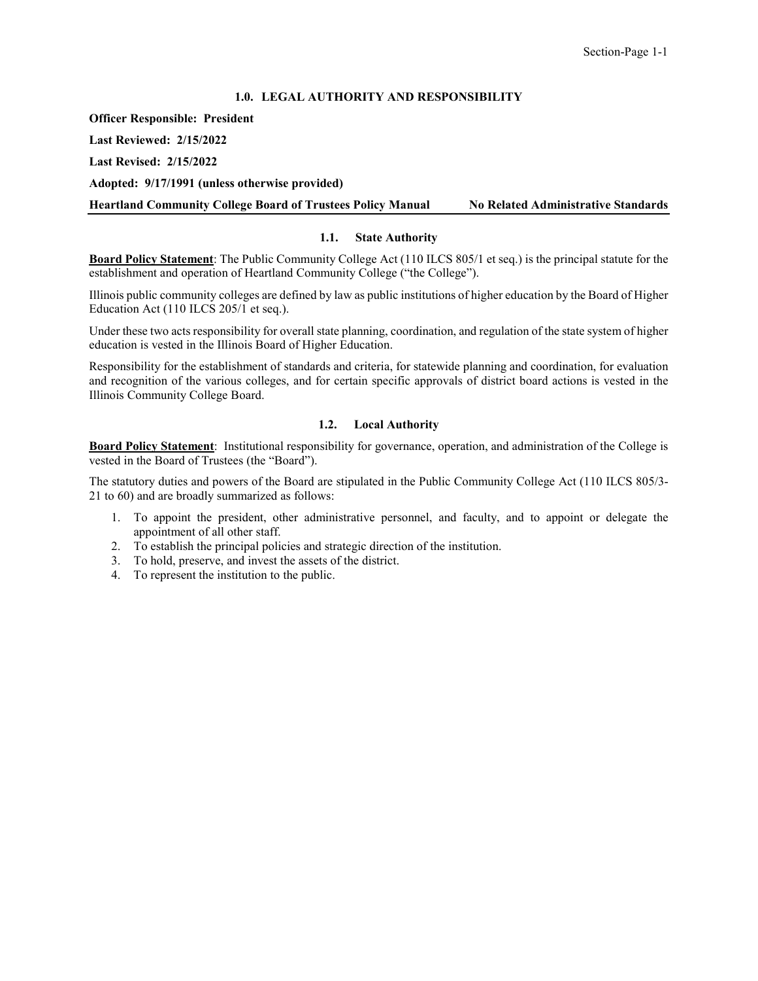## **1.0. LEGAL AUTHORITY AND RESPONSIBILITY**

<span id="page-6-0"></span>**Officer Responsible: President**

**Last Reviewed: 2/15/2022**

**Last Revised: 2/15/2022**

**Adopted: 9/17/1991 (unless otherwise provided)**

<span id="page-6-1"></span>**Heartland Community College Board of Trustees Policy Manual No Related Administrative Standards**

## **1.1. State Authority**

**Board Policy Statement**: The Public Community College Act (110 ILCS 805/1 et seq.) is the principal statute for the establishment and operation of Heartland Community College ("the College").

Illinois public community colleges are defined by law as public institutions of higher education by the Board of Higher Education Act (110 ILCS 205/1 et seq.).

Under these two acts responsibility for overall state planning, coordination, and regulation of the state system of higher education is vested in the Illinois Board of Higher Education.

Responsibility for the establishment of standards and criteria, for statewide planning and coordination, for evaluation and recognition of the various colleges, and for certain specific approvals of district board actions is vested in the Illinois Community College Board.

### **1.2. Local Authority**

<span id="page-6-2"></span>**Board Policy Statement**: Institutional responsibility for governance, operation, and administration of the College is vested in the Board of Trustees (the "Board").

The statutory duties and powers of the Board are stipulated in the Public Community College Act (110 ILCS 805/3- 21 to 60) and are broadly summarized as follows:

- 1. To appoint the president, other administrative personnel, and faculty, and to appoint or delegate the appointment of all other staff.
- 2. To establish the principal policies and strategic direction of the institution.
- 3. To hold, preserve, and invest the assets of the district.
- 4. To represent the institution to the public.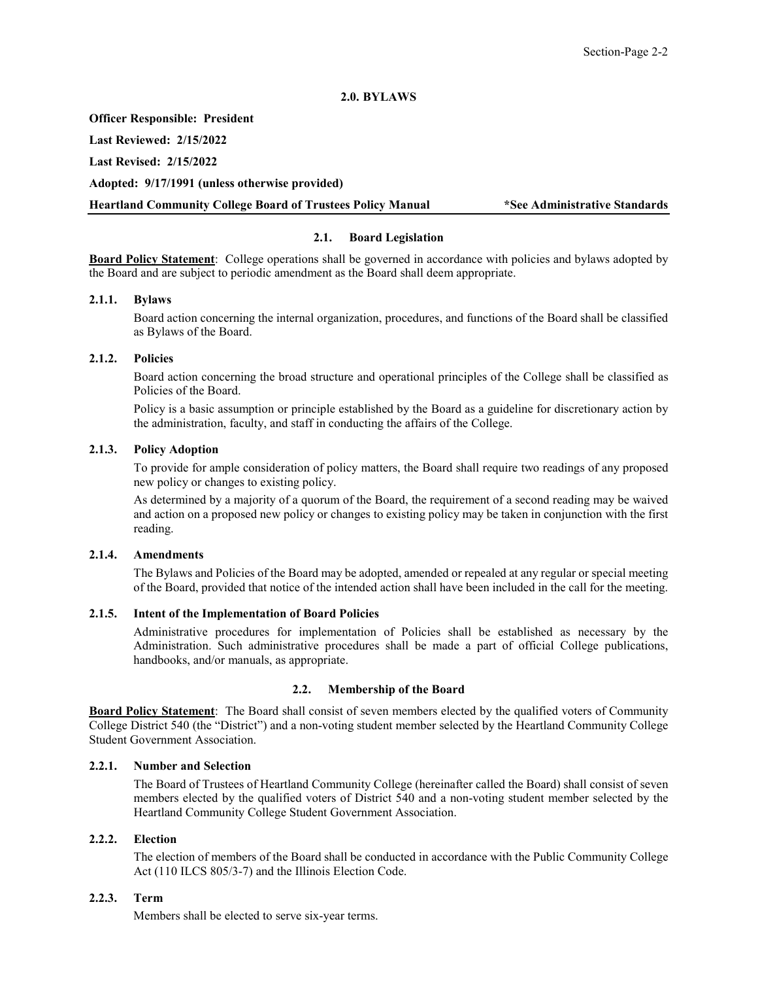## **2.0. BYLAWS**

#### <span id="page-7-0"></span>**Officer Responsible: President**

**Last Reviewed: 2/15/2022**

**Last Revised: 2/15/2022**

**Adopted: 9/17/1991 (unless otherwise provided)**

<span id="page-7-1"></span>**Heartland Community College Board of Trustees Policy Manual \*See Administrative Standards**

## **2.1. Board Legislation**

**Board Policy Statement**: College operations shall be governed in accordance with policies and bylaws adopted by the Board and are subject to periodic amendment as the Board shall deem appropriate.

## <span id="page-7-2"></span>**2.1.1. Bylaws**

Board action concerning the internal organization, procedures, and functions of the Board shall be classified as Bylaws of the Board.

### <span id="page-7-3"></span>**2.1.2. Policies**

Board action concerning the broad structure and operational principles of the College shall be classified as Policies of the Board.

Policy is a basic assumption or principle established by the Board as a guideline for discretionary action by the administration, faculty, and staff in conducting the affairs of the College.

## <span id="page-7-4"></span>**2.1.3. Policy Adoption**

To provide for ample consideration of policy matters, the Board shall require two readings of any proposed new policy or changes to existing policy.

As determined by a majority of a quorum of the Board, the requirement of a second reading may be waived and action on a proposed new policy or changes to existing policy may be taken in conjunction with the first reading.

## <span id="page-7-5"></span>**2.1.4. Amendments**

The Bylaws and Policies of the Board may be adopted, amended or repealed at any regular or special meeting of the Board, provided that notice of the intended action shall have been included in the call for the meeting.

### <span id="page-7-6"></span>**2.1.5. Intent of the Implementation of Board Policies**

Administrative procedures for implementation of Policies shall be established as necessary by the Administration. Such administrative procedures shall be made a part of official College publications, handbooks, and/or manuals, as appropriate.

### **2.2. Membership of the Board**

<span id="page-7-7"></span>**Board Policy Statement**: The Board shall consist of seven members elected by the qualified voters of Community College District 540 (the "District") and a non-voting student member selected by the Heartland Community College Student Government Association.

### <span id="page-7-8"></span>**2.2.1. Number and Selection**

The Board of Trustees of Heartland Community College (hereinafter called the Board) shall consist of seven members elected by the qualified voters of District 540 and a non-voting student member selected by the Heartland Community College Student Government Association.

## <span id="page-7-9"></span>**2.2.2. Election**

The election of members of the Board shall be conducted in accordance with the Public Community College Act (110 ILCS 805/3-7) and the Illinois Election Code.

## <span id="page-7-10"></span>**2.2.3. Term**

Members shall be elected to serve six-year terms.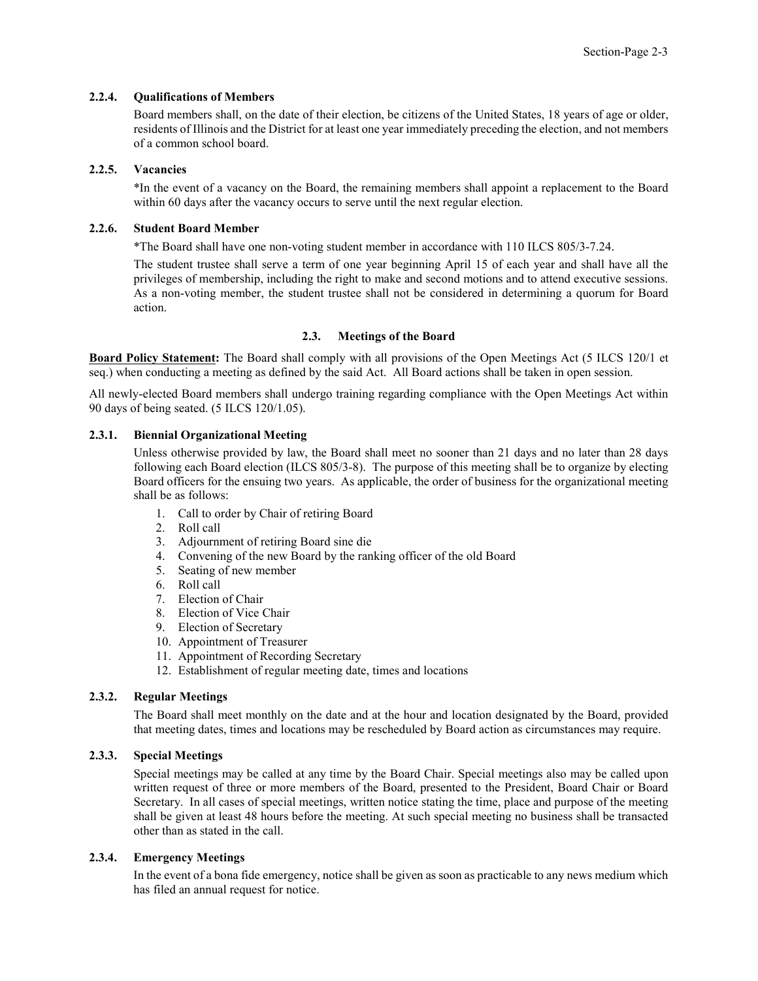## <span id="page-8-0"></span>**2.2.4. Qualifications of Members**

Board members shall, on the date of their election, be citizens of the United States, 18 years of age or older, residents of Illinois and the District for at least one year immediately preceding the election, and not members of a common school board.

### <span id="page-8-1"></span>**2.2.5. Vacancies**

\*In the event of a vacancy on the Board, the remaining members shall appoint a replacement to the Board within 60 days after the vacancy occurs to serve until the next regular election.

### <span id="page-8-2"></span>**2.2.6. Student Board Member**

\*The Board shall have one non-voting student member in accordance with 110 ILCS 805/3-7.24.

The student trustee shall serve a term of one year beginning April 15 of each year and shall have all the privileges of membership, including the right to make and second motions and to attend executive sessions. As a non-voting member, the student trustee shall not be considered in determining a quorum for Board action.

### **2.3. Meetings of the Board**

<span id="page-8-3"></span>**Board Policy Statement:** The Board shall comply with all provisions of the Open Meetings Act (5 ILCS 120/1 et seq.) when conducting a meeting as defined by the said Act. All Board actions shall be taken in open session.

All newly-elected Board members shall undergo training regarding compliance with the Open Meetings Act within 90 days of being seated. (5 ILCS 120/1.05).

### <span id="page-8-4"></span>**2.3.1. Biennial Organizational Meeting**

Unless otherwise provided by law, the Board shall meet no sooner than 21 days and no later than 28 days following each Board election (ILCS 805/3-8). The purpose of this meeting shall be to organize by electing Board officers for the ensuing two years. As applicable, the order of business for the organizational meeting shall be as follows:

- 1. Call to order by Chair of retiring Board
- 2. Roll call
- 3. Adjournment of retiring Board sine die
- 4. Convening of the new Board by the ranking officer of the old Board
- 5. Seating of new member
- 6. Roll call
- 7. Election of Chair
- 8. Election of Vice Chair
- 9. Election of Secretary
- 10. Appointment of Treasurer
- 11. Appointment of Recording Secretary
- 12. Establishment of regular meeting date, times and locations

### <span id="page-8-5"></span>**2.3.2. Regular Meetings**

The Board shall meet monthly on the date and at the hour and location designated by the Board, provided that meeting dates, times and locations may be rescheduled by Board action as circumstances may require.

## <span id="page-8-6"></span>**2.3.3. Special Meetings**

Special meetings may be called at any time by the Board Chair. Special meetings also may be called upon written request of three or more members of the Board, presented to the President, Board Chair or Board Secretary. In all cases of special meetings, written notice stating the time, place and purpose of the meeting shall be given at least 48 hours before the meeting. At such special meeting no business shall be transacted other than as stated in the call.

## <span id="page-8-7"></span>**2.3.4. Emergency Meetings**

In the event of a bona fide emergency, notice shall be given as soon as practicable to any news medium which has filed an annual request for notice.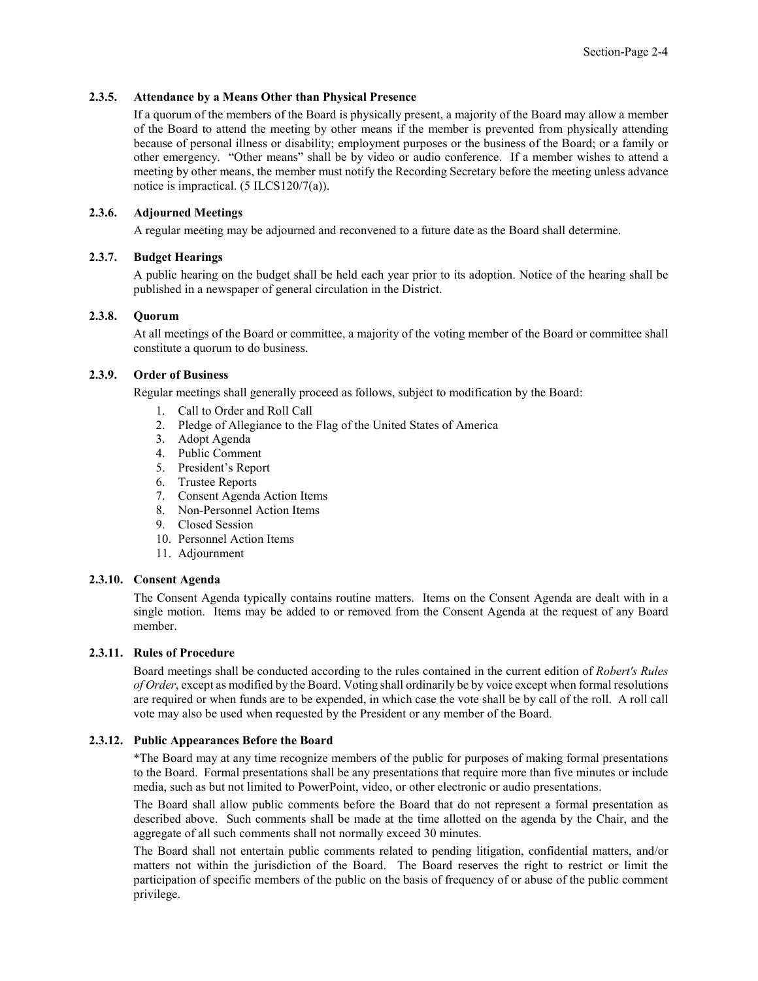## <span id="page-9-0"></span>**2.3.5. Attendance by a Means Other than Physical Presence**

If a quorum of the members of the Board is physically present, a majority of the Board may allow a member of the Board to attend the meeting by other means if the member is prevented from physically attending because of personal illness or disability; employment purposes or the business of the Board; or a family or other emergency. "Other means" shall be by video or audio conference. If a member wishes to attend a meeting by other means, the member must notify the Recording Secretary before the meeting unless advance notice is impractical. (5 ILCS120/7(a)).

## <span id="page-9-1"></span>**2.3.6. Adjourned Meetings**

A regular meeting may be adjourned and reconvened to a future date as the Board shall determine.

### <span id="page-9-2"></span>**2.3.7. Budget Hearings**

A public hearing on the budget shall be held each year prior to its adoption. Notice of the hearing shall be published in a newspaper of general circulation in the District.

### <span id="page-9-3"></span>**2.3.8. Quorum**

At all meetings of the Board or committee, a majority of the voting member of the Board or committee shall constitute a quorum to do business.

## <span id="page-9-4"></span>**2.3.9. Order of Business**

Regular meetings shall generally proceed as follows, subject to modification by the Board:

- 1. Call to Order and Roll Call
- 2. Pledge of Allegiance to the Flag of the United States of America
- 3. Adopt Agenda
- 4. Public Comment
- 5. President's Report
- 6. Trustee Reports
- 7. Consent Agenda Action Items
- 8. Non-Personnel Action Items
- 9. Closed Session
- 10. Personnel Action Items
- 11. Adjournment

## <span id="page-9-5"></span>**2.3.10. Consent Agenda**

The Consent Agenda typically contains routine matters. Items on the Consent Agenda are dealt with in a single motion. Items may be added to or removed from the Consent Agenda at the request of any Board member.

### <span id="page-9-6"></span>**2.3.11. Rules of Procedure**

Board meetings shall be conducted according to the rules contained in the current edition of *Robert's Rules of Order*, except as modified by the Board. Voting shall ordinarily be by voice except when formal resolutions are required or when funds are to be expended, in which case the vote shall be by call of the roll. A roll call vote may also be used when requested by the President or any member of the Board.

### <span id="page-9-7"></span>**2.3.12. Public Appearances Before the Board**

\*The Board may at any time recognize members of the public for purposes of making formal presentations to the Board. Formal presentations shall be any presentations that require more than five minutes or include media, such as but not limited to PowerPoint, video, or other electronic or audio presentations.

The Board shall allow public comments before the Board that do not represent a formal presentation as described above. Such comments shall be made at the time allotted on the agenda by the Chair, and the aggregate of all such comments shall not normally exceed 30 minutes.

The Board shall not entertain public comments related to pending litigation, confidential matters, and/or matters not within the jurisdiction of the Board. The Board reserves the right to restrict or limit the participation of specific members of the public on the basis of frequency of or abuse of the public comment privilege.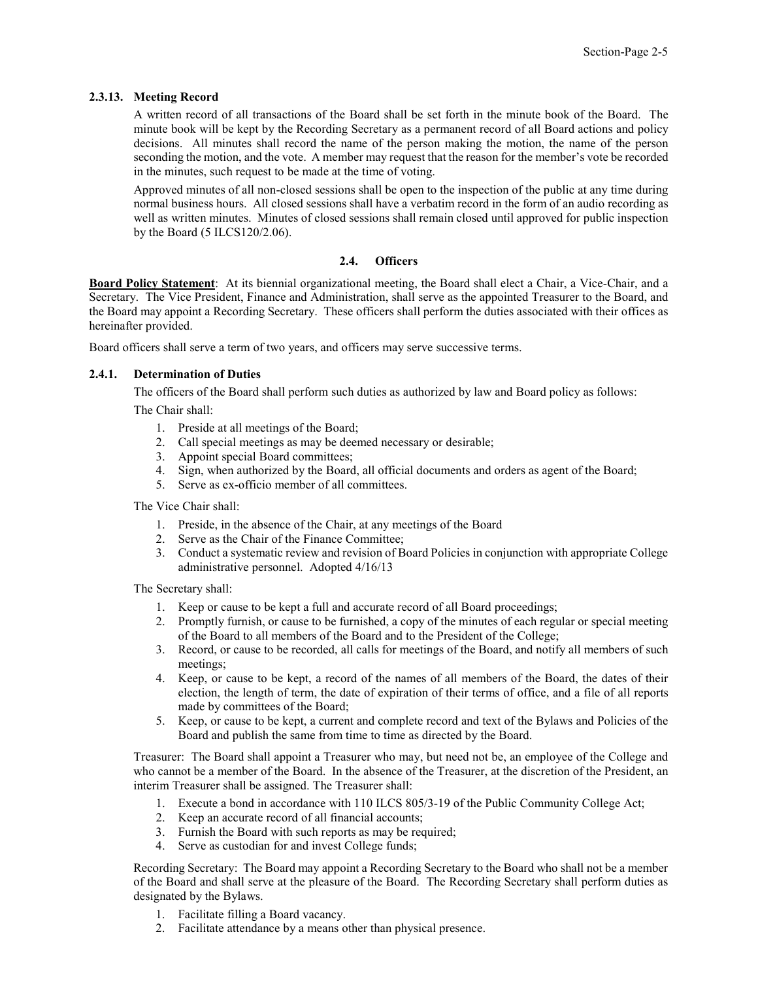## <span id="page-10-0"></span>**2.3.13. Meeting Record**

A written record of all transactions of the Board shall be set forth in the minute book of the Board. The minute book will be kept by the Recording Secretary as a permanent record of all Board actions and policy decisions. All minutes shall record the name of the person making the motion, the name of the person seconding the motion, and the vote. A member may request that the reason for the member's vote be recorded in the minutes, such request to be made at the time of voting.

Approved minutes of all non-closed sessions shall be open to the inspection of the public at any time during normal business hours. All closed sessions shall have a verbatim record in the form of an audio recording as well as written minutes. Minutes of closed sessions shall remain closed until approved for public inspection by the Board (5 ILCS120/2.06).

### **2.4. Officers**

<span id="page-10-1"></span>**Board Policy Statement**: At its biennial organizational meeting, the Board shall elect a Chair, a Vice-Chair, and a Secretary. The Vice President, Finance and Administration, shall serve as the appointed Treasurer to the Board, and the Board may appoint a Recording Secretary. These officers shall perform the duties associated with their offices as hereinafter provided.

Board officers shall serve a term of two years, and officers may serve successive terms.

## <span id="page-10-2"></span>**2.4.1. Determination of Duties**

The officers of the Board shall perform such duties as authorized by law and Board policy as follows:

The Chair shall:

- 1. Preside at all meetings of the Board;
- 2. Call special meetings as may be deemed necessary or desirable;
- 3. Appoint special Board committees;
- 4. Sign, when authorized by the Board, all official documents and orders as agent of the Board;
- 5. Serve as ex-officio member of all committees.

The Vice Chair shall:

- 1. Preside, in the absence of the Chair, at any meetings of the Board
- 2. Serve as the Chair of the Finance Committee;
- 3. Conduct a systematic review and revision of Board Policies in conjunction with appropriate College administrative personnel. Adopted 4/16/13

The Secretary shall:

- 1. Keep or cause to be kept a full and accurate record of all Board proceedings;
- 2. Promptly furnish, or cause to be furnished, a copy of the minutes of each regular or special meeting of the Board to all members of the Board and to the President of the College;
- 3. Record, or cause to be recorded, all calls for meetings of the Board, and notify all members of such meetings;
- 4. Keep, or cause to be kept, a record of the names of all members of the Board, the dates of their election, the length of term, the date of expiration of their terms of office, and a file of all reports made by committees of the Board;
- 5. Keep, or cause to be kept, a current and complete record and text of the Bylaws and Policies of the Board and publish the same from time to time as directed by the Board.

Treasurer: The Board shall appoint a Treasurer who may, but need not be, an employee of the College and who cannot be a member of the Board. In the absence of the Treasurer, at the discretion of the President, an interim Treasurer shall be assigned. The Treasurer shall:

- 1. Execute a bond in accordance with 110 ILCS 805/3-19 of the Public Community College Act;
- 2. Keep an accurate record of all financial accounts;
- 3. Furnish the Board with such reports as may be required;
- 4. Serve as custodian for and invest College funds;

Recording Secretary: The Board may appoint a Recording Secretary to the Board who shall not be a member of the Board and shall serve at the pleasure of the Board. The Recording Secretary shall perform duties as designated by the Bylaws.

- 1. Facilitate filling a Board vacancy.
- 2. Facilitate attendance by a means other than physical presence.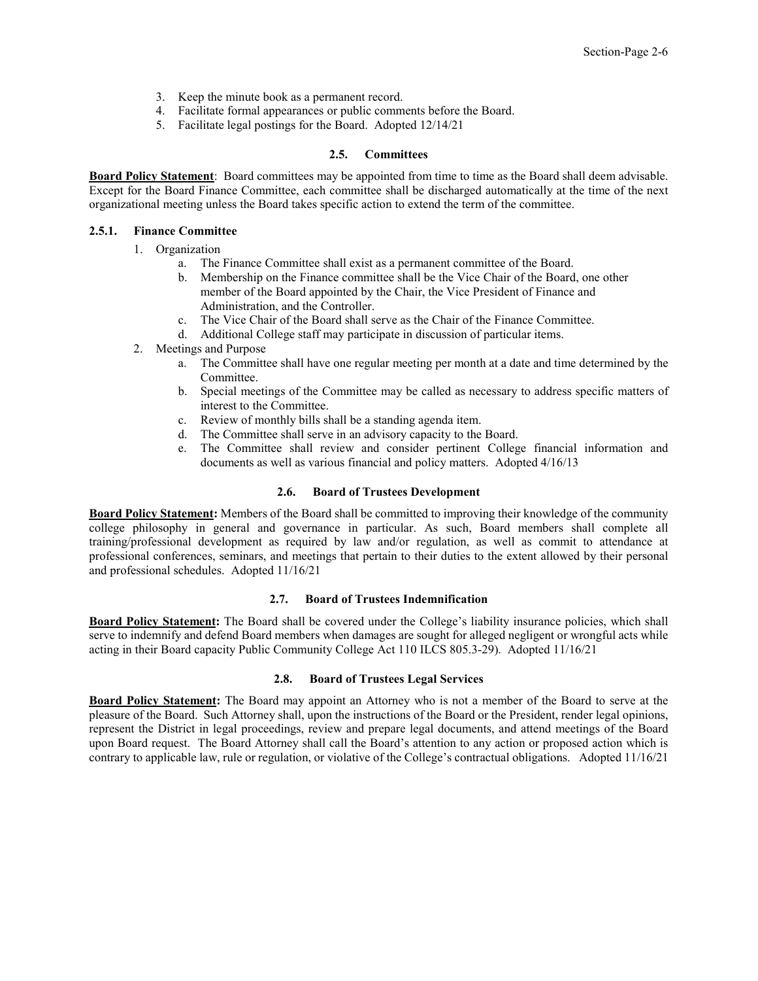- 3. Keep the minute book as a permanent record.
- 4. Facilitate formal appearances or public comments before the Board.
- 5. Facilitate legal postings for the Board. Adopted 12/14/21

## **2.5. Committees**

<span id="page-11-0"></span>**Board Policy Statement**: Board committees may be appointed from time to time as the Board shall deem advisable. Except for the Board Finance Committee, each committee shall be discharged automatically at the time of the next organizational meeting unless the Board takes specific action to extend the term of the committee.

## <span id="page-11-1"></span>**2.5.1. Finance Committee**

- 1. Organization
	- a. The Finance Committee shall exist as a permanent committee of the Board.
	- b. Membership on the Finance committee shall be the Vice Chair of the Board, one other member of the Board appointed by the Chair, the Vice President of Finance and Administration, and the Controller.
	- c. The Vice Chair of the Board shall serve as the Chair of the Finance Committee.
	- d. Additional College staff may participate in discussion of particular items.
- 2. Meetings and Purpose
	- a. The Committee shall have one regular meeting per month at a date and time determined by the Committee.
	- b. Special meetings of the Committee may be called as necessary to address specific matters of interest to the Committee.
	- c. Review of monthly bills shall be a standing agenda item.
	- d. The Committee shall serve in an advisory capacity to the Board.
	- e. The Committee shall review and consider pertinent College financial information and documents as well as various financial and policy matters. Adopted 4/16/13

### **2.6. Board of Trustees Development**

<span id="page-11-2"></span>**Board Policy Statement:** Members of the Board shall be committed to improving their knowledge of the community college philosophy in general and governance in particular. As such, Board members shall complete all training/professional development as required by law and/or regulation, as well as commit to attendance at professional conferences, seminars, and meetings that pertain to their duties to the extent allowed by their personal and professional schedules. Adopted 11/16/21

## **2.7. Board of Trustees Indemnification**

<span id="page-11-3"></span>**Board Policy Statement:** The Board shall be covered under the College's liability insurance policies, which shall serve to indemnify and defend Board members when damages are sought for alleged negligent or wrongful acts while acting in their Board capacity Public Community College Act 110 ILCS 805.3-29). Adopted 11/16/21

### **2.8. Board of Trustees Legal Services**

<span id="page-11-4"></span>**Board Policy Statement:** The Board may appoint an Attorney who is not a member of the Board to serve at the pleasure of the Board. Such Attorney shall, upon the instructions of the Board or the President, render legal opinions, represent the District in legal proceedings, review and prepare legal documents, and attend meetings of the Board upon Board request. The Board Attorney shall call the Board's attention to any action or proposed action which is contrary to applicable law, rule or regulation, or violative of the College's contractual obligations. Adopted 11/16/21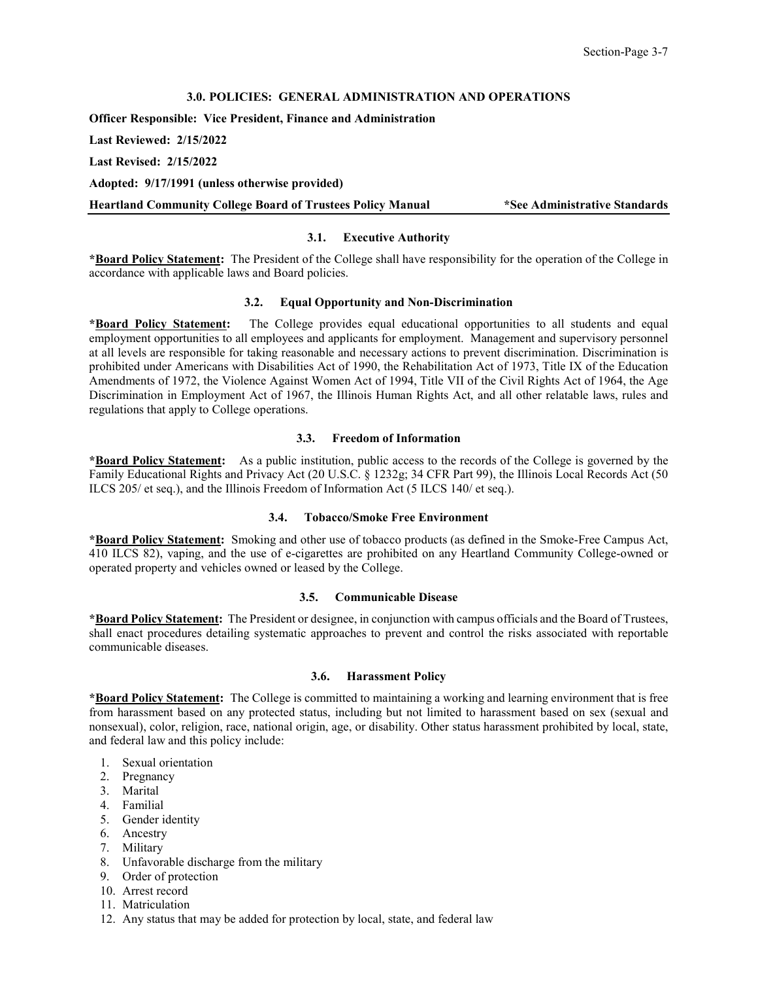### **3.0. POLICIES: GENERAL ADMINISTRATION AND OPERATIONS**

<span id="page-12-0"></span>**Officer Responsible: Vice President, Finance and Administration**

**Last Reviewed: 2/15/2022**

**Last Revised: 2/15/2022**

**Adopted: 9/17/1991 (unless otherwise provided)**

<span id="page-12-1"></span>**Heartland Community College Board of Trustees Policy Manual \*See Administrative Standards**

## **3.1. Executive Authority**

**\*Board Policy Statement:** The President of the College shall have responsibility for the operation of the College in accordance with applicable laws and Board policies.

### **3.2. Equal Opportunity and Non-Discrimination**

<span id="page-12-2"></span>**\*Board Policy Statement:** The College provides equal educational opportunities to all students and equal employment opportunities to all employees and applicants for employment. Management and supervisory personnel at all levels are responsible for taking reasonable and necessary actions to prevent discrimination. Discrimination is prohibited under Americans with Disabilities Act of 1990, the Rehabilitation Act of 1973, Title IX of the Education Amendments of 1972, the Violence Against Women Act of 1994, Title VII of the Civil Rights Act of 1964, the Age Discrimination in Employment Act of 1967, the Illinois Human Rights Act, and all other relatable laws, rules and regulations that apply to College operations.

### **3.3. Freedom of Information**

<span id="page-12-3"></span>**\*Board Policy Statement:** As a public institution, public access to the records of the College is governed by the Family Educational Rights and Privacy Act (20 U.S.C. § 1232g; 34 CFR Part 99), the Illinois Local Records Act (50 ILCS 205/ et seq.), and the Illinois Freedom of Information Act (5 ILCS 140/ et seq.).

## **3.4. Tobacco/Smoke Free Environment**

<span id="page-12-4"></span>**\*Board Policy Statement:** Smoking and other use of tobacco products (as defined in the Smoke-Free Campus Act, 410 ILCS 82), vaping, and the use of e-cigarettes are prohibited on any Heartland Community College-owned or operated property and vehicles owned or leased by the College.

#### **3.5. Communicable Disease**

<span id="page-12-5"></span>**\*Board Policy Statement:** The President or designee, in conjunction with campus officials and the Board of Trustees, shall enact procedures detailing systematic approaches to prevent and control the risks associated with reportable communicable diseases.

## **3.6. Harassment Policy**

<span id="page-12-6"></span>**\*Board Policy Statement:** The College is committed to maintaining a working and learning environment that is free from harassment based on any protected status, including but not limited to harassment based on sex (sexual and nonsexual), color, religion, race, national origin, age, or disability. Other status harassment prohibited by local, state, and federal law and this policy include:

- 1. Sexual orientation
- 2. Pregnancy
- 3. Marital
- 4. Familial
- 5. Gender identity
- 6. Ancestry
- 7. Military
- 8. Unfavorable discharge from the military
- 9. Order of protection
- 10. Arrest record
- 11. Matriculation
- 12. Any status that may be added for protection by local, state, and federal law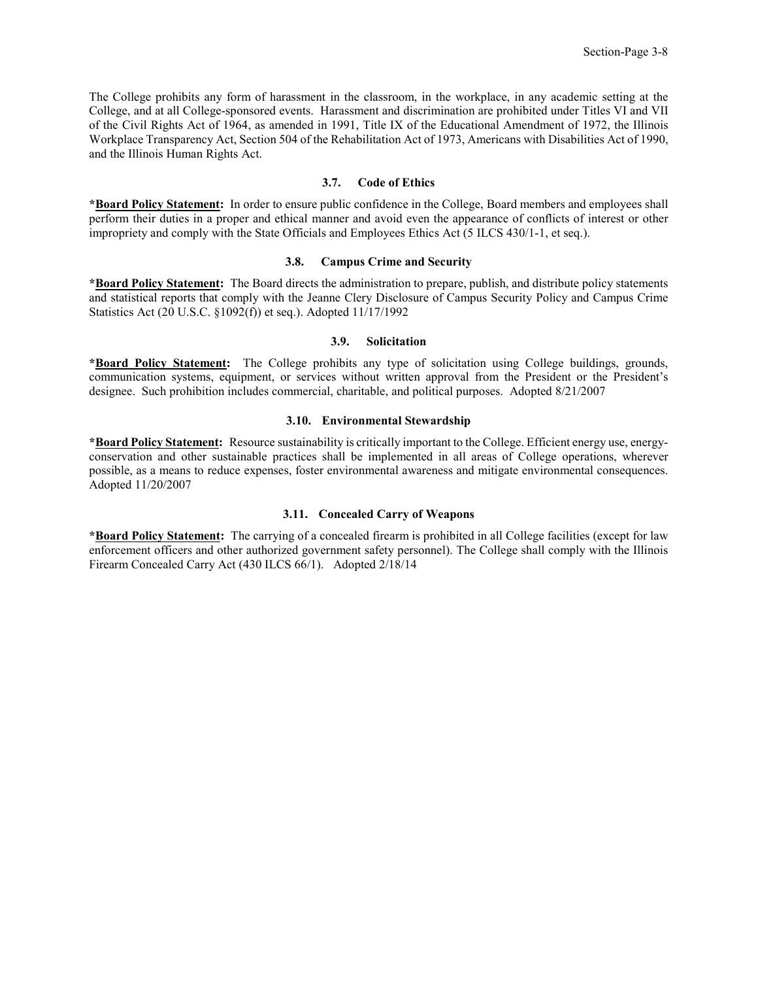The College prohibits any form of harassment in the classroom, in the workplace, in any academic setting at the College, and at all College-sponsored events. Harassment and discrimination are prohibited under Titles VI and VII of the Civil Rights Act of 1964, as amended in 1991, Title IX of the Educational Amendment of 1972, the Illinois Workplace Transparency Act, Section 504 of the Rehabilitation Act of 1973, Americans with Disabilities Act of 1990, and the Illinois Human Rights Act.

### **3.7. Code of Ethics**

<span id="page-13-0"></span>**\*Board Policy Statement:** In order to ensure public confidence in the College, Board members and employees shall perform their duties in a proper and ethical manner and avoid even the appearance of conflicts of interest or other impropriety and comply with the State Officials and Employees Ethics Act (5 ILCS 430/1-1, et seq.).

### **3.8. Campus Crime and Security**

<span id="page-13-1"></span>**\*Board Policy Statement:** The Board directs the administration to prepare, publish, and distribute policy statements and statistical reports that comply with the Jeanne Clery Disclosure of Campus Security Policy and Campus Crime Statistics Act (20 U.S.C. §1092(f)) et seq.). Adopted 11/17/1992

### **3.9. Solicitation**

<span id="page-13-2"></span>**\*Board Policy Statement:** The College prohibits any type of solicitation using College buildings, grounds, communication systems, equipment, or services without written approval from the President or the President's designee. Such prohibition includes commercial, charitable, and political purposes. Adopted 8/21/2007

### **3.10. Environmental Stewardship**

<span id="page-13-3"></span>**\*Board Policy Statement:** Resource sustainability is critically important to the College. Efficient energy use, energyconservation and other sustainable practices shall be implemented in all areas of College operations, wherever possible, as a means to reduce expenses, foster environmental awareness and mitigate environmental consequences. Adopted 11/20/2007

## **3.11. Concealed Carry of Weapons**

<span id="page-13-4"></span>**\*Board Policy Statement:** The carrying of a concealed firearm is prohibited in all College facilities (except for law enforcement officers and other authorized government safety personnel). The College shall comply with the Illinois Firearm Concealed Carry Act (430 ILCS 66/1). Adopted 2/18/14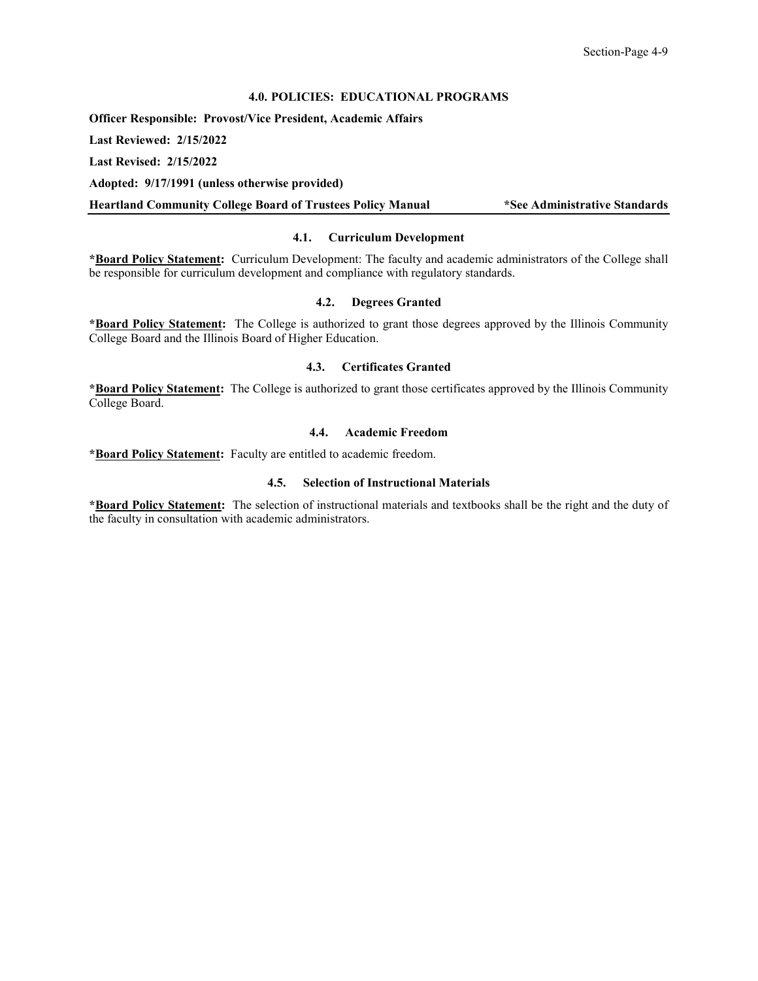### **4.0. POLICIES: EDUCATIONAL PROGRAMS**

<span id="page-14-0"></span>**Officer Responsible: Provost/Vice President, Academic Affairs**

**Last Reviewed: 2/15/2022**

**Last Revised: 2/15/2022**

**Adopted: 9/17/1991 (unless otherwise provided)**

<span id="page-14-1"></span>**Heartland Community College Board of Trustees Policy Manual \*See Administrative Standards**

## **4.1. Curriculum Development**

**\*Board Policy Statement:** Curriculum Development: The faculty and academic administrators of the College shall be responsible for curriculum development and compliance with regulatory standards.

#### **4.2. Degrees Granted**

<span id="page-14-2"></span>**\*Board Policy Statement:** The College is authorized to grant those degrees approved by the Illinois Community College Board and the Illinois Board of Higher Education.

## **4.3. Certificates Granted**

<span id="page-14-4"></span><span id="page-14-3"></span>**\*Board Policy Statement:** The College is authorized to grant those certificates approved by the Illinois Community College Board.

### **4.4. Academic Freedom**

<span id="page-14-5"></span>**\*Board Policy Statement:** Faculty are entitled to academic freedom.

### **4.5. Selection of Instructional Materials**

**\*Board Policy Statement:** The selection of instructional materials and textbooks shall be the right and the duty of the faculty in consultation with academic administrators.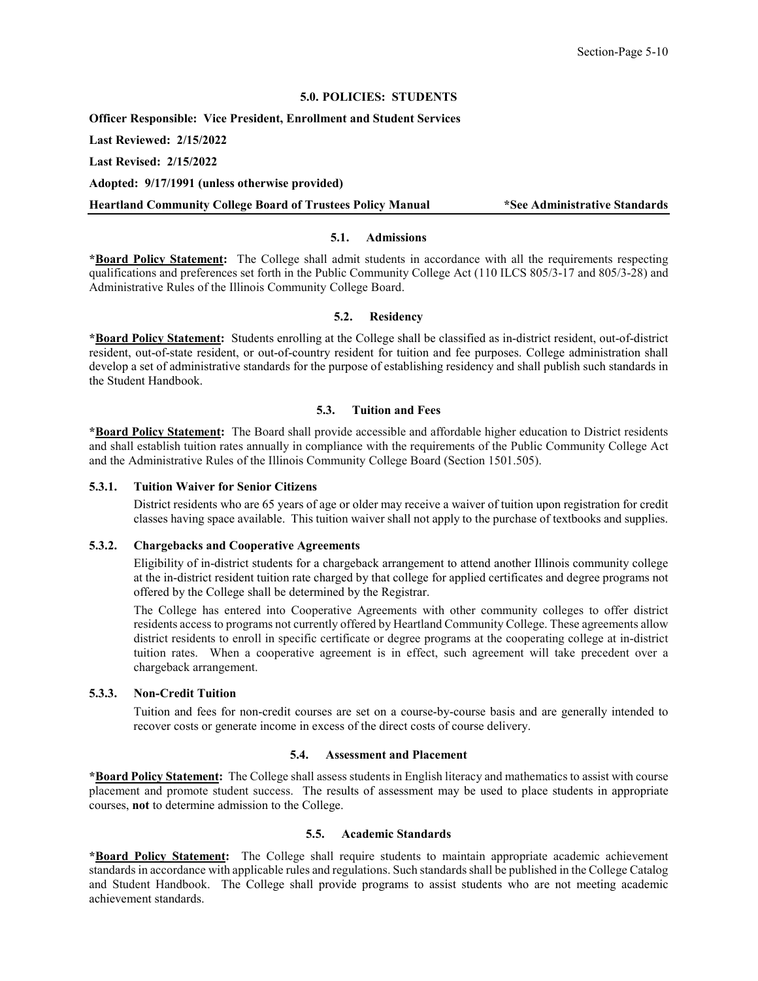## **5.0. POLICIES: STUDENTS**

<span id="page-15-0"></span>**Officer Responsible: Vice President, Enrollment and Student Services**

**Last Reviewed: 2/15/2022**

**Last Revised: 2/15/2022**

**Adopted: 9/17/1991 (unless otherwise provided)**

<span id="page-15-1"></span>**Heartland Community College Board of Trustees Policy Manual \*See Administrative Standards**

### **5.1. Admissions**

**\*Board Policy Statement:** The College shall admit students in accordance with all the requirements respecting qualifications and preferences set forth in the Public Community College Act (110 ILCS 805/3-17 and 805/3-28) and Administrative Rules of the Illinois Community College Board.

### **5.2. Residency**

<span id="page-15-2"></span>**\*Board Policy Statement:** Students enrolling at the College shall be classified as in-district resident, out-of-district resident, out-of-state resident, or out-of-country resident for tuition and fee purposes. College administration shall develop a set of administrative standards for the purpose of establishing residency and shall publish such standards in the Student Handbook.

### **5.3. Tuition and Fees**

<span id="page-15-3"></span>**\*Board Policy Statement:** The Board shall provide accessible and affordable higher education to District residents and shall establish tuition rates annually in compliance with the requirements of the Public Community College Act and the Administrative Rules of the Illinois Community College Board (Section 1501.505).

#### <span id="page-15-4"></span>**5.3.1. Tuition Waiver for Senior Citizens**

District residents who are 65 years of age or older may receive a waiver of tuition upon registration for credit classes having space available. This tuition waiver shall not apply to the purchase of textbooks and supplies.

#### <span id="page-15-5"></span>**5.3.2. Chargebacks and Cooperative Agreements**

Eligibility of in-district students for a chargeback arrangement to attend another Illinois community college at the in-district resident tuition rate charged by that college for applied certificates and degree programs not offered by the College shall be determined by the Registrar.

The College has entered into Cooperative Agreements with other community colleges to offer district residents access to programs not currently offered by Heartland Community College. These agreements allow district residents to enroll in specific certificate or degree programs at the cooperating college at in-district tuition rates. When a cooperative agreement is in effect, such agreement will take precedent over a chargeback arrangement.

### <span id="page-15-6"></span>**5.3.3. Non-Credit Tuition**

Tuition and fees for non-credit courses are set on a course-by-course basis and are generally intended to recover costs or generate income in excess of the direct costs of course delivery.

### **5.4. Assessment and Placement**

<span id="page-15-7"></span>**\*Board Policy Statement:** The College shall assess students in English literacy and mathematics to assist with course placement and promote student success. The results of assessment may be used to place students in appropriate courses, **not** to determine admission to the College.

### **5.5. Academic Standards**

<span id="page-15-8"></span>**\*Board Policy Statement:** The College shall require students to maintain appropriate academic achievement standards in accordance with applicable rules and regulations. Such standards shall be published in the College Catalog and Student Handbook. The College shall provide programs to assist students who are not meeting academic achievement standards.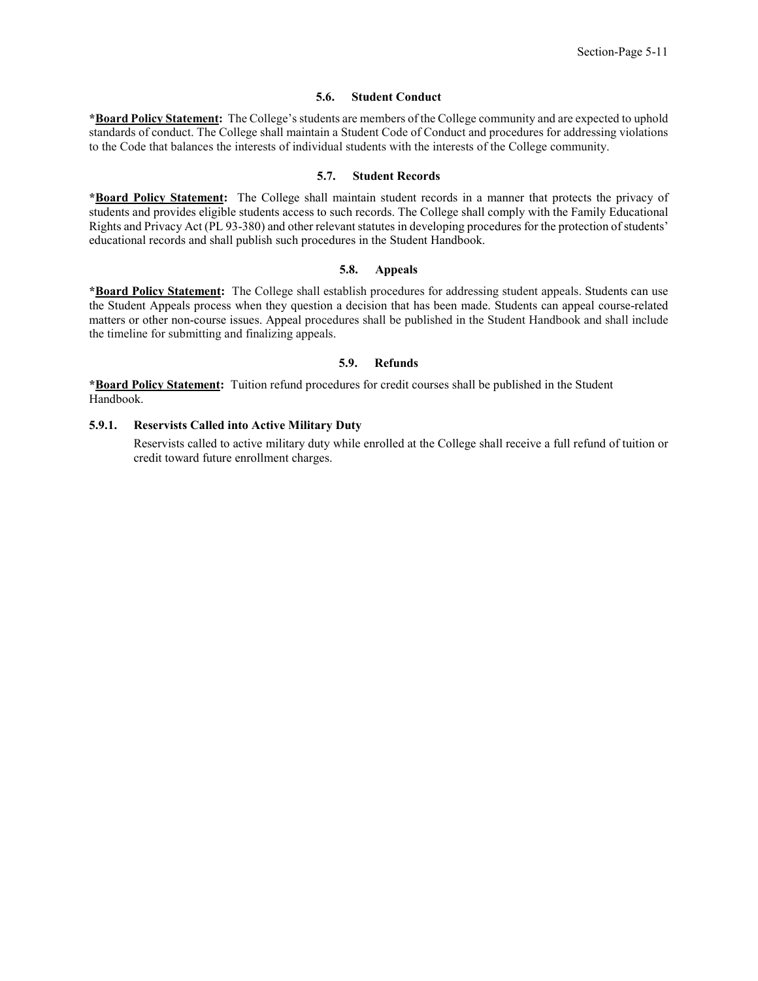#### **5.6. Student Conduct**

<span id="page-16-0"></span>**\*Board Policy Statement:** The College's students are members of the College community and are expected to uphold standards of conduct. The College shall maintain a Student Code of Conduct and procedures for addressing violations to the Code that balances the interests of individual students with the interests of the College community.

### **5.7. Student Records**

<span id="page-16-1"></span>**\*Board Policy Statement:** The College shall maintain student records in a manner that protects the privacy of students and provides eligible students access to such records. The College shall comply with the Family Educational Rights and Privacy Act (PL 93-380) and other relevant statutes in developing procedures for the protection of students' educational records and shall publish such procedures in the Student Handbook.

#### **5.8. Appeals**

<span id="page-16-2"></span>**\*Board Policy Statement:** The College shall establish procedures for addressing student appeals. Students can use the Student Appeals process when they question a decision that has been made. Students can appeal course-related matters or other non-course issues. Appeal procedures shall be published in the Student Handbook and shall include the timeline for submitting and finalizing appeals.

#### **5.9. Refunds**

<span id="page-16-3"></span>**\*Board Policy Statement:** Tuition refund procedures for credit courses shall be published in the Student Handbook.

### <span id="page-16-4"></span>**5.9.1. Reservists Called into Active Military Duty**

Reservists called to active military duty while enrolled at the College shall receive a full refund of tuition or credit toward future enrollment charges.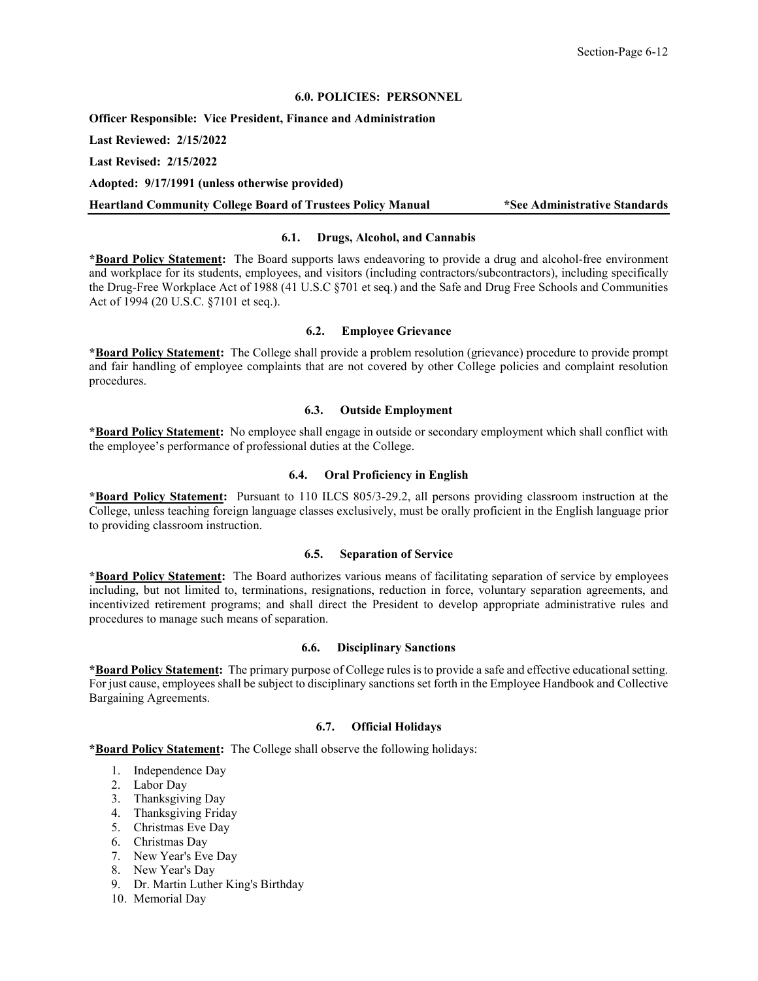### **6.0. POLICIES: PERSONNEL**

<span id="page-17-0"></span>**Officer Responsible: Vice President, Finance and Administration**

**Last Reviewed: 2/15/2022**

**Last Revised: 2/15/2022**

**Adopted: 9/17/1991 (unless otherwise provided)**

<span id="page-17-1"></span>**Heartland Community College Board of Trustees Policy Manual \*See Administrative Standards**

### **6.1. Drugs, Alcohol, and Cannabis**

**\*Board Policy Statement:** The Board supports laws endeavoring to provide a drug and alcohol-free environment and workplace for its students, employees, and visitors (including contractors/subcontractors), including specifically the Drug-Free Workplace Act of 1988 (41 U.S.C §701 et seq.) and the Safe and Drug Free Schools and Communities Act of 1994 (20 U.S.C. §7101 et seq.).

#### **6.2. Employee Grievance**

<span id="page-17-2"></span>**\*Board Policy Statement:** The College shall provide a problem resolution (grievance) procedure to provide prompt and fair handling of employee complaints that are not covered by other College policies and complaint resolution procedures.

### **6.3. Outside Employment**

<span id="page-17-3"></span>**\*Board Policy Statement:** No employee shall engage in outside or secondary employment which shall conflict with the employee's performance of professional duties at the College.

#### **6.4. Oral Proficiency in English**

<span id="page-17-4"></span>**\*Board Policy Statement:** Pursuant to 110 ILCS 805/3-29.2, all persons providing classroom instruction at the College, unless teaching foreign language classes exclusively, must be orally proficient in the English language prior to providing classroom instruction.

#### **6.5. Separation of Service**

<span id="page-17-5"></span>**\*Board Policy Statement:** The Board authorizes various means of facilitating separation of service by employees including, but not limited to, terminations, resignations, reduction in force, voluntary separation agreements, and incentivized retirement programs; and shall direct the President to develop appropriate administrative rules and procedures to manage such means of separation.

## **6.6. Disciplinary Sanctions**

<span id="page-17-6"></span>**\*Board Policy Statement:** The primary purpose of College rules is to provide a safe and effective educational setting. For just cause, employees shall be subject to disciplinary sanctions set forth in the Employee Handbook and Collective Bargaining Agreements.

### **6.7. Official Holidays**

<span id="page-17-7"></span>**\*Board Policy Statement:** The College shall observe the following holidays:

- 1. Independence Day
- 2. Labor Day
- 3. Thanksgiving Day
- 4. Thanksgiving Friday
- 5. Christmas Eve Day
- 6. Christmas Day
- 7. New Year's Eve Day
- 8. New Year's Day
- 9. Dr. Martin Luther King's Birthday
- 10. Memorial Day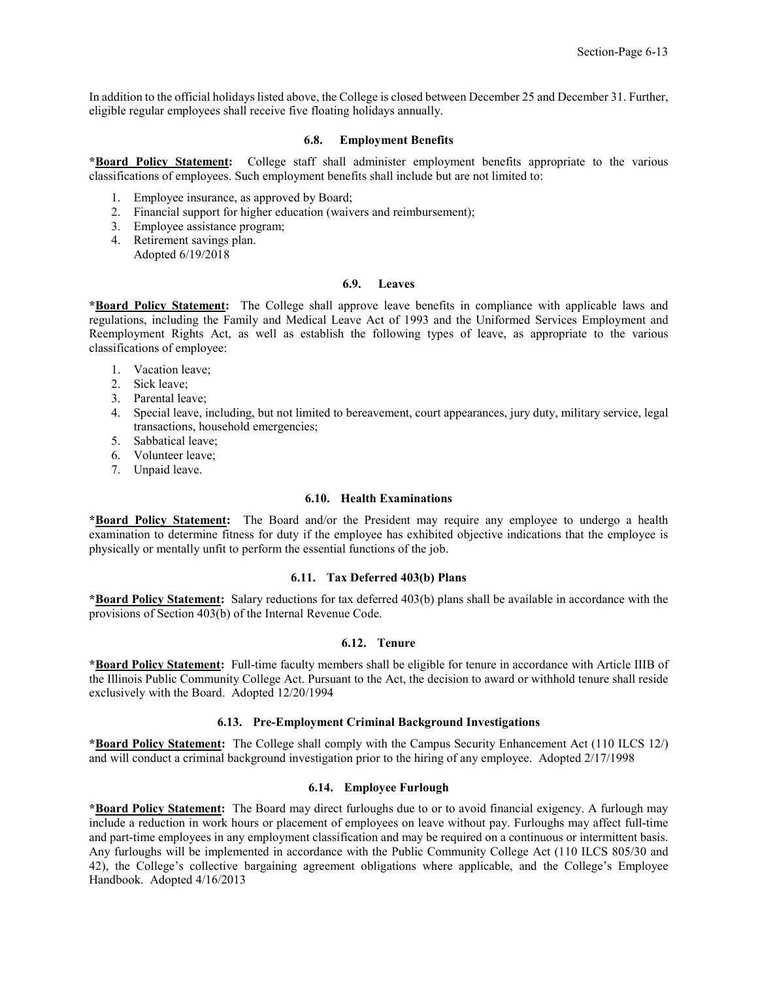In addition to the official holidays listed above, the College is closed between December 25 and December 31. Further, eligible regular employees shall receive five floating holidays annually.

### **6.8. Employment Benefits**

<span id="page-18-0"></span>**\*Board Policy Statement:** College staff shall administer employment benefits appropriate to the various classifications of employees. Such employment benefits shall include but are not limited to:

- 1. Employee insurance, as approved by Board;
- 2. Financial support for higher education (waivers and reimbursement);
- 3. Employee assistance program;
- 4. Retirement savings plan. Adopted 6/19/2018

#### **6.9. Leaves**

<span id="page-18-1"></span>**\*Board Policy Statement:** The College shall approve leave benefits in compliance with applicable laws and regulations, including the Family and Medical Leave Act of 1993 and the Uniformed Services Employment and Reemployment Rights Act, as well as establish the following types of leave, as appropriate to the various classifications of employee:

- 1. Vacation leave;
- 2. Sick leave;
- 3. Parental leave;
- 4. Special leave, including, but not limited to bereavement, court appearances, jury duty, military service, legal transactions, household emergencies;
- 5. Sabbatical leave;
- 6. Volunteer leave;
- <span id="page-18-2"></span>7. Unpaid leave.

### **6.10. Health Examinations**

**\*Board Policy Statement:** The Board and/or the President may require any employee to undergo a health examination to determine fitness for duty if the employee has exhibited objective indications that the employee is physically or mentally unfit to perform the essential functions of the job.

#### **6.11. Tax Deferred 403(b) Plans**

<span id="page-18-3"></span>**\*Board Policy Statement:** Salary reductions for tax deferred 403(b) plans shall be available in accordance with the provisions of Section 403(b) of the Internal Revenue Code.

### **6.12. Tenure**

<span id="page-18-4"></span>**\*Board Policy Statement:** Full-time faculty members shall be eligible for tenure in accordance with Article IIIB of the Illinois Public Community College Act. Pursuant to the Act, the decision to award or withhold tenure shall reside exclusively with the Board. Adopted 12/20/1994

### **6.13. Pre-Employment Criminal Background Investigations**

<span id="page-18-5"></span>**\*Board Policy Statement:** The College shall comply with the Campus Security Enhancement Act (110 ILCS 12/) and will conduct a criminal background investigation prior to the hiring of any employee. Adopted 2/17/1998

#### **6.14. Employee Furlough**

<span id="page-18-6"></span>**\*Board Policy Statement:** The Board may direct furloughs due to or to avoid financial exigency. A furlough may include a reduction in work hours or placement of employees on leave without pay. Furloughs may affect full-time and part-time employees in any employment classification and may be required on a continuous or intermittent basis. Any furloughs will be implemented in accordance with the Public Community College Act (110 ILCS 805/30 and 42), the College's collective bargaining agreement obligations where applicable, and the College's Employee Handbook. Adopted 4/16/2013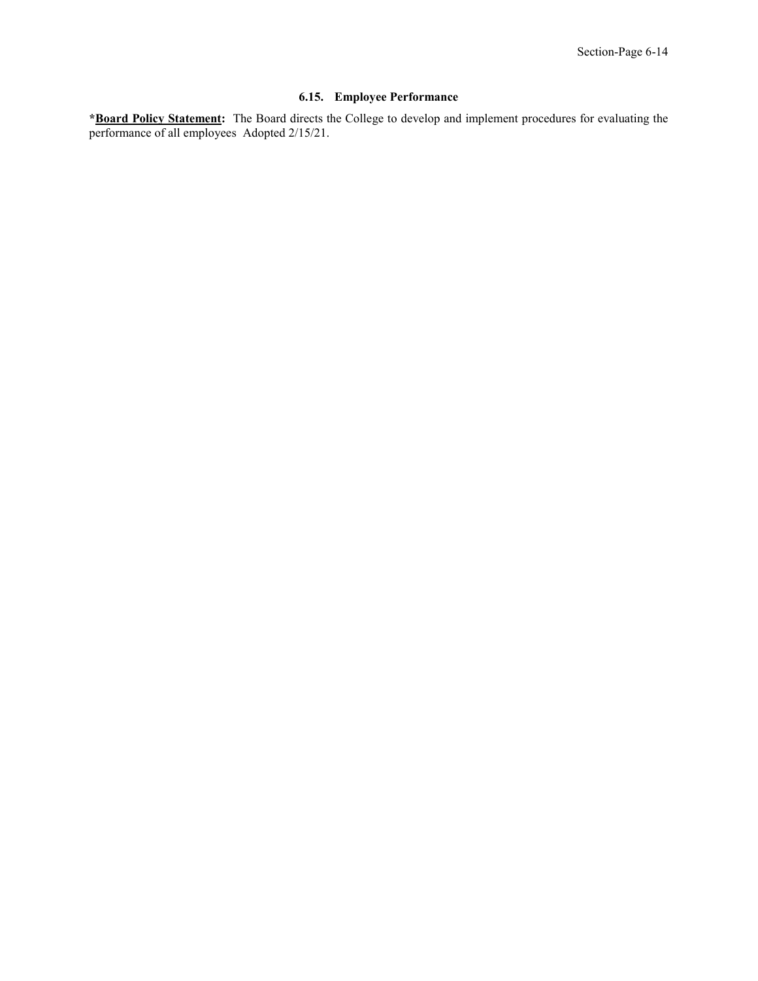## **6.15. Employee Performance**

<span id="page-19-0"></span>**\*Board Policy Statement:** The Board directs the College to develop and implement procedures for evaluating the performance of all employees Adopted 2/15/21.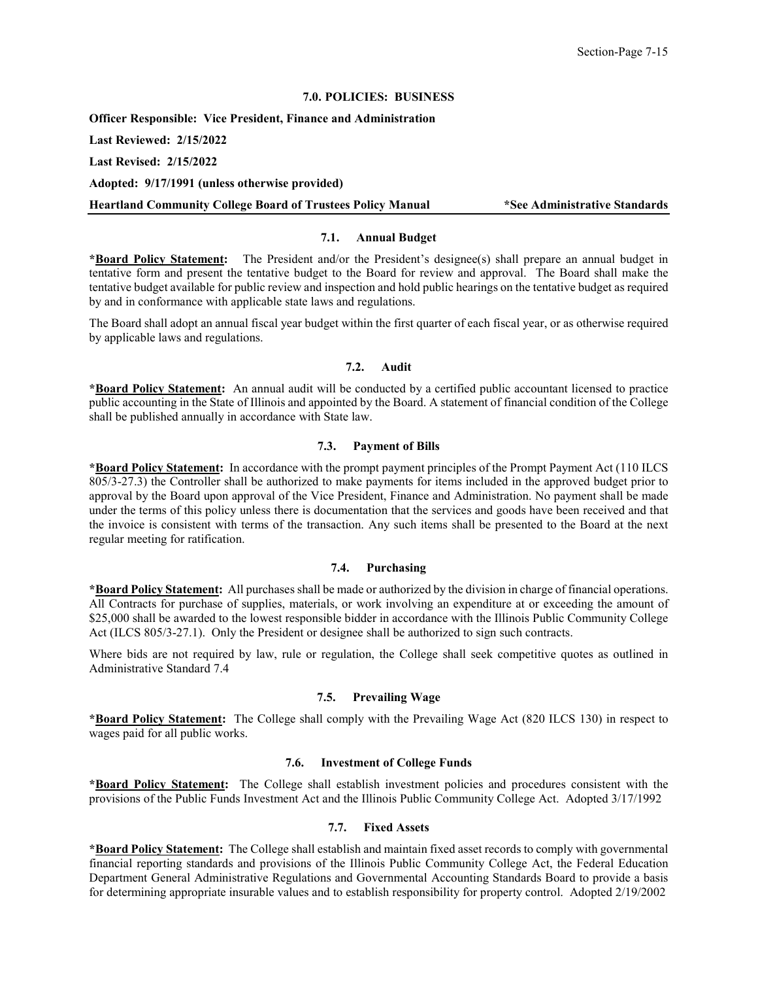## **7.0. POLICIES: BUSINESS**

<span id="page-20-0"></span>**Officer Responsible: Vice President, Finance and Administration**

**Last Reviewed: 2/15/2022**

**Last Revised: 2/15/2022**

**Adopted: 9/17/1991 (unless otherwise provided)**

<span id="page-20-1"></span>**Heartland Community College Board of Trustees Policy Manual \*See Administrative Standards**

## **7.1. Annual Budget**

**\*Board Policy Statement:** The President and/or the President's designee(s) shall prepare an annual budget in tentative form and present the tentative budget to the Board for review and approval. The Board shall make the tentative budget available for public review and inspection and hold public hearings on the tentative budget as required by and in conformance with applicable state laws and regulations.

The Board shall adopt an annual fiscal year budget within the first quarter of each fiscal year, or as otherwise required by applicable laws and regulations.

### **7.2. Audit**

<span id="page-20-2"></span>**\*Board Policy Statement:** An annual audit will be conducted by a certified public accountant licensed to practice public accounting in the State of Illinois and appointed by the Board. A statement of financial condition of the College shall be published annually in accordance with State law.

## **7.3. Payment of Bills**

<span id="page-20-3"></span>**\*Board Policy Statement:** In accordance with the prompt payment principles of the Prompt Payment Act (110 ILCS 805/3-27.3) the Controller shall be authorized to make payments for items included in the approved budget prior to approval by the Board upon approval of the Vice President, Finance and Administration. No payment shall be made under the terms of this policy unless there is documentation that the services and goods have been received and that the invoice is consistent with terms of the transaction. Any such items shall be presented to the Board at the next regular meeting for ratification.

### **7.4. Purchasing**

<span id="page-20-4"></span>**\*Board Policy Statement:** All purchases shall be made or authorized by the division in charge of financial operations. All Contracts for purchase of supplies, materials, or work involving an expenditure at or exceeding the amount of \$25,000 shall be awarded to the lowest responsible bidder in accordance with the Illinois Public Community College Act (ILCS 805/3-27.1). Only the President or designee shall be authorized to sign such contracts.

Where bids are not required by law, rule or regulation, the College shall seek competitive quotes as outlined in Administrative Standard 7.4

### **7.5. Prevailing Wage**

<span id="page-20-5"></span>**\*Board Policy Statement:** The College shall comply with the Prevailing Wage Act (820 ILCS 130) in respect to wages paid for all public works.

## **7.6. Investment of College Funds**

<span id="page-20-6"></span>**\*Board Policy Statement:** The College shall establish investment policies and procedures consistent with the provisions of the Public Funds Investment Act and the Illinois Public Community College Act. Adopted 3/17/1992

### **7.7. Fixed Assets**

<span id="page-20-7"></span>**\*Board Policy Statement:** The College shall establish and maintain fixed asset records to comply with governmental financial reporting standards and provisions of the Illinois Public Community College Act, the Federal Education Department General Administrative Regulations and Governmental Accounting Standards Board to provide a basis for determining appropriate insurable values and to establish responsibility for property control. Adopted 2/19/2002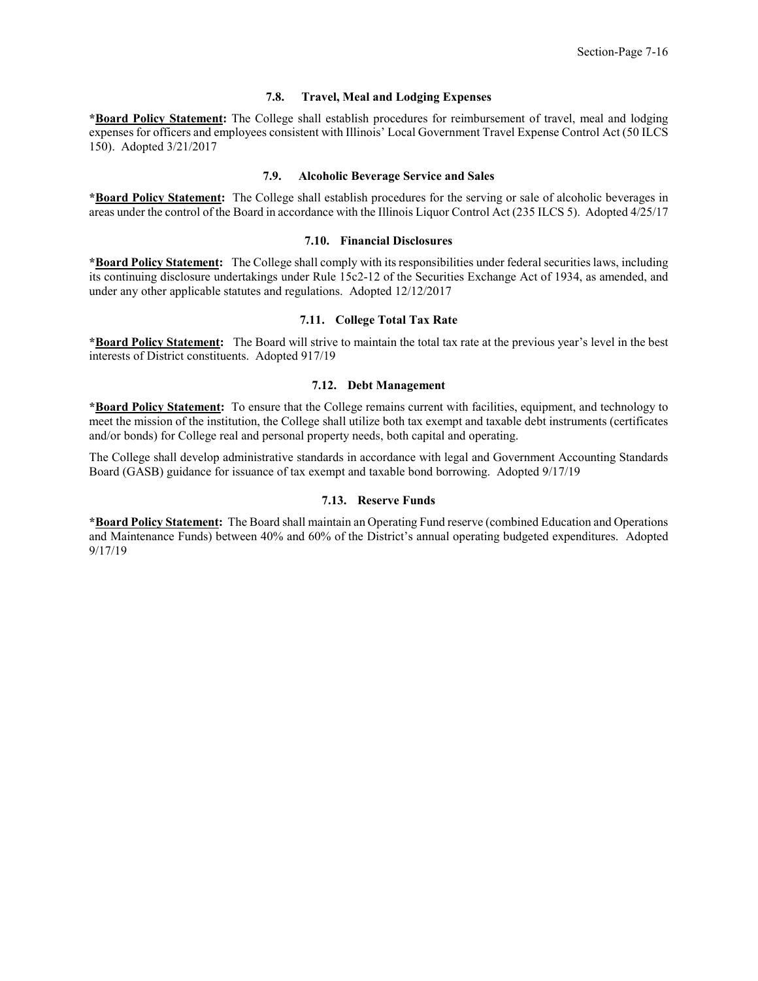#### **7.8. Travel, Meal and Lodging Expenses**

<span id="page-21-0"></span>**\*Board Policy Statement:** The College shall establish procedures for reimbursement of travel, meal and lodging expenses for officers and employees consistent with Illinois' Local Government Travel Expense Control Act (50 ILCS 150). Adopted 3/21/2017

#### **7.9. Alcoholic Beverage Service and Sales**

<span id="page-21-1"></span>**\*Board Policy Statement:** The College shall establish procedures for the serving or sale of alcoholic beverages in areas under the control of the Board in accordance with the Illinois Liquor Control Act (235 ILCS 5). Adopted 4/25/17

#### **7.10. Financial Disclosures**

<span id="page-21-2"></span>**\*Board Policy Statement:** The College shall comply with its responsibilities under federal securities laws, including its continuing disclosure undertakings under Rule 15c2-12 of the Securities Exchange Act of 1934, as amended, and under any other applicable statutes and regulations. Adopted 12/12/2017

### **7.11. College Total Tax Rate**

<span id="page-21-3"></span>**\*Board Policy Statement:** The Board will strive to maintain the total tax rate at the previous year's level in the best interests of District constituents. Adopted 917/19

#### **7.12. Debt Management**

<span id="page-21-4"></span>**\*Board Policy Statement:** To ensure that the College remains current with facilities, equipment, and technology to meet the mission of the institution, the College shall utilize both tax exempt and taxable debt instruments (certificates and/or bonds) for College real and personal property needs, both capital and operating.

The College shall develop administrative standards in accordance with legal and Government Accounting Standards Board (GASB) guidance for issuance of tax exempt and taxable bond borrowing. Adopted 9/17/19

#### **7.13. Reserve Funds**

<span id="page-21-5"></span>**\*Board Policy Statement:** The Board shall maintain an Operating Fund reserve (combined Education and Operations and Maintenance Funds) between 40% and 60% of the District's annual operating budgeted expenditures. Adopted 9/17/19